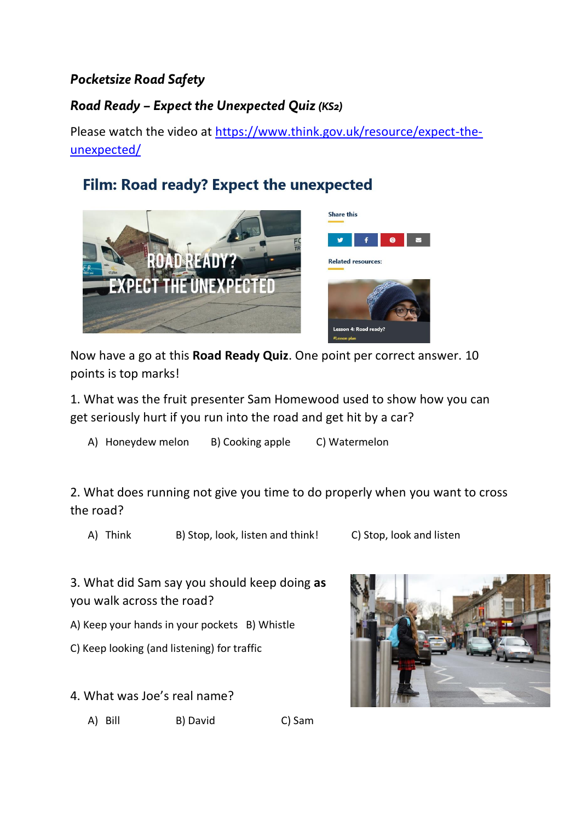## *Pocketsize Road Safety*

## *Road Ready – Expect the Unexpected Quiz (KS2)*

Please watch the video at [https://www.think.gov.uk/resource/expect-the](https://www.think.gov.uk/resource/expect-the-unexpected/)[unexpected/](https://www.think.gov.uk/resource/expect-the-unexpected/)

## Film: Road ready? Expect the unexpected



Now have a go at this **Road Ready Quiz**. One point per correct answer. 10 points is top marks!

1. What was the fruit presenter Sam Homewood used to show how you can get seriously hurt if you run into the road and get hit by a car?

A) Honeydew melon B) Cooking apple C) Watermelon

2. What does running not give you time to do properly when you want to cross the road?

A) Think B) Stop, look, listen and think! C) Stop, look and listen

3. What did Sam say you should keep doing **as**  you walk across the road?

A) Keep your hands in your pockets B) Whistle

C) Keep looking (and listening) for traffic

- 4. What was Joe's real name?
	- A) Bill B) David C) Sam

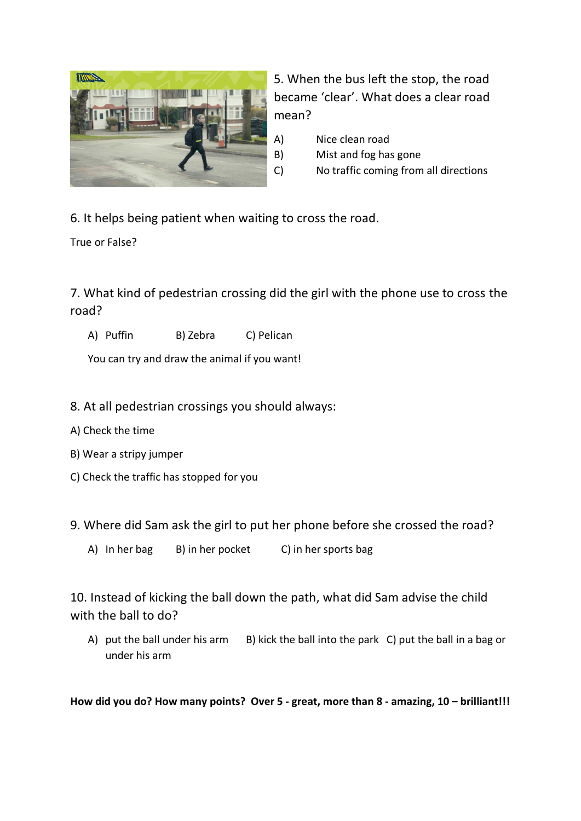

5. When the bus left the stop, the road became 'clear'. What does a clear road mean?

- A) Nice clean road
- B) Mist and fog has gone
- C) No traffic coming from all directions

6. It helps being patient when waiting to cross the road.

True or False?

7. What kind of pedestrian crossing did the girl with the phone use to cross the road?

A) Puffin B) Zebra C) Pelican

You can try and draw the animal if you want!

- 8. At all pedestrian crossings you should always:
- A) Check the time
- B) Wear a stripy jumper
- C) Check the traffic has stopped for you

9. Where did Sam ask the girl to put her phone before she crossed the road?

A) In her bag B) in her pocket C) in her sports bag

10. Instead of kicking the ball down the path, what did Sam advise the child with the ball to do?

A) put the ball under his arm B) kick the ball into the park C) put the ball in a bag or under his arm

**How did you do? How many points? Over 5 - great, more than 8 - amazing, 10 – brilliant!!!**